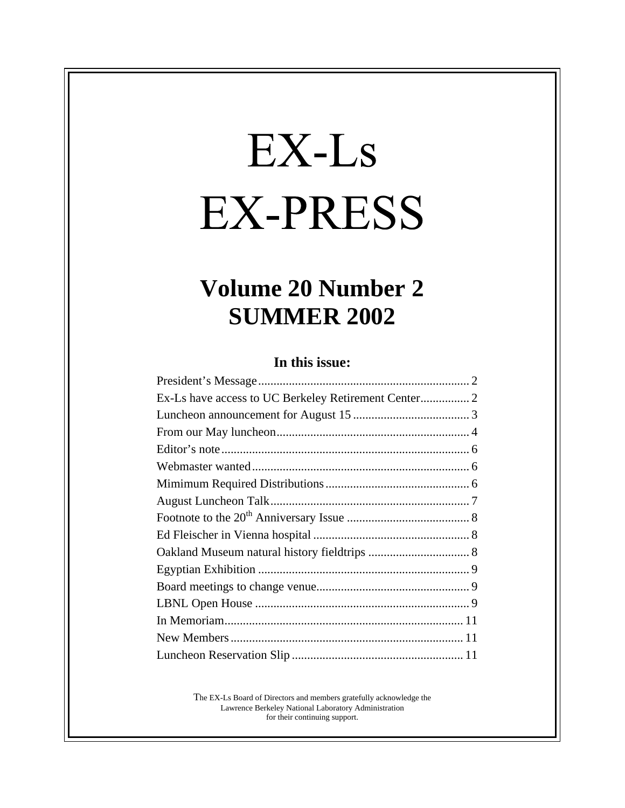# EX-Ls **EX-PRESS**

## **Volume 20 Number 2 SUMMER 2002**

#### **In this issue:**

| Ex-Ls have access to UC Berkeley Retirement Center 2 |
|------------------------------------------------------|
|                                                      |
|                                                      |
|                                                      |
|                                                      |
|                                                      |
|                                                      |
|                                                      |
|                                                      |
|                                                      |
|                                                      |
|                                                      |
|                                                      |
|                                                      |
|                                                      |
|                                                      |

The EX-Ls Board of Directors and members gratefully acknowledge the Lawrence Berkeley National Laboratory Administration for their continuing support.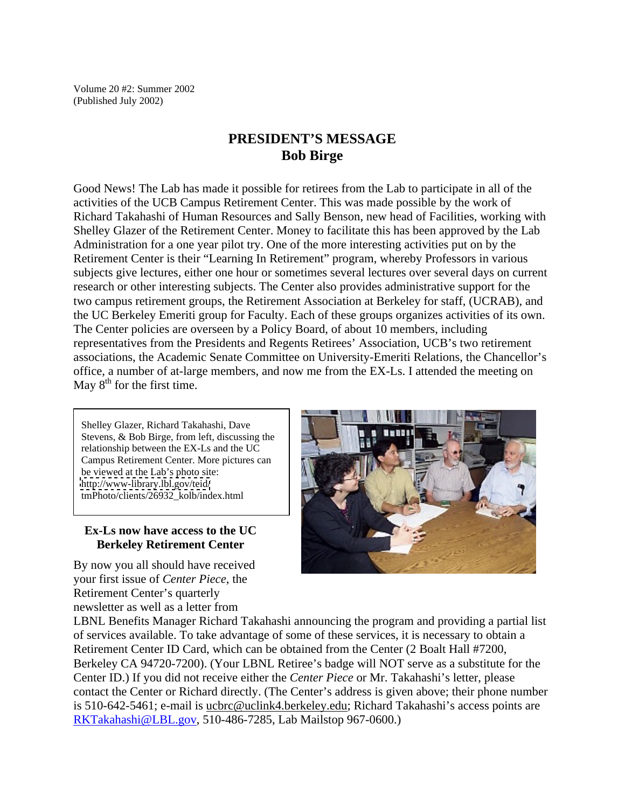Volume 20 #2: Summer 2002 (Published July 2002)

#### **PRESIDENT'S MESSAGE Bob Birge**

Good News! The Lab has made it possible for retirees from the Lab to participate in all of the activities of the UCB Campus Retirement Center. This was made possible by the work of Richard Takahashi of Human Resources and Sally Benson, new head of Facilities, working with Shelley Glazer of the Retirement Center. Money to facilitate this has been approved by the Lab Administration for a one year pilot try. One of the more interesting activities put on by the Retirement Center is their "Learning In Retirement" program, whereby Professors in various subjects give lectures, either one hour or sometimes several lectures over several days on current research or other interesting subjects. The Center also provides administrative support for the two campus retirement groups, the Retirement Association at Berkeley for staff, (UCRAB), and the UC Berkeley Emeriti group for Faculty. Each of these groups organizes activities of its own. The Center policies are overseen by a Policy Board, of about 10 members, including representatives from the Presidents and Regents Retirees' Association, UCB's two retirement associations, the Academic Senate Committee on University-Emeriti Relations, the Chancellor's office, a number of at-large members, and now me from the EX-Ls. I attended the meeting on May  $8<sup>th</sup>$  for the first time.

Shelley Glazer, Richard Takahashi, Dave Stevens, & Bob Birge, from left, discussing the relationship between the EX-Ls and the UC Campus Retirement Center. More pictures can be viewed at the Lab's photo site: <http://www-library.lbl.gov/teid/> tmPhoto/clients/26932\_kolb/index.html

#### **Ex-Ls now have access to the UC Berkeley Retirement Center**

By now you all should have received your first issue of *Center Piece*, the Retirement Center's quarterly newsletter as well as a letter from



LBNL Benefits Manager Richard Takahashi announcing the program and providing a partial list of services available. To take advantage of some of these services, it is necessary to obtain a Retirement Center ID Card, which can be obtained from the Center (2 Boalt Hall #7200, Berkeley CA 94720-7200). (Your LBNL Retiree's badge will NOT serve as a substitute for the Center ID.) If you did not receive either the *Center Piece* or Mr. Takahashi's letter, please contact the Center or Richard directly. (The Center's address is given above; their phone number is 510-642-5461; e-mail is ucbrc@uclink4.berkeley.edu; Richard Takahashi's access points are RKTakahashi@LBL.gov, 510-486-7285, Lab Mailstop 967-0600.)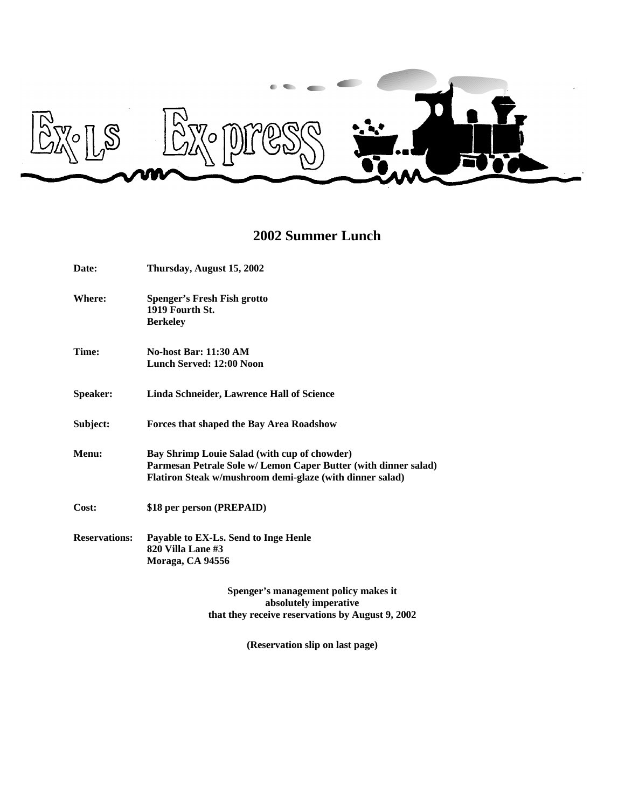

### **2002 Summer Lunch**

| Date:           | Thursday, August 15, 2002                                                                                                                                                   |
|-----------------|-----------------------------------------------------------------------------------------------------------------------------------------------------------------------------|
| Where:          | <b>Spenger's Fresh Fish grotto</b><br>1919 Fourth St.<br><b>Berkeley</b>                                                                                                    |
| Time:           | No-host Bar: 11:30 AM<br>Lunch Served: 12:00 Noon                                                                                                                           |
| <b>Speaker:</b> | Linda Schneider, Lawrence Hall of Science                                                                                                                                   |
| Subject:        | Forces that shaped the Bay Area Roadshow                                                                                                                                    |
| Menu:           | Bay Shrimp Louie Salad (with cup of chowder)<br>Parmesan Petrale Sole w/ Lemon Caper Butter (with dinner salad)<br>Flatiron Steak w/mushroom demi-glaze (with dinner salad) |
| Cost:           | \$18 per person (PREPAID)                                                                                                                                                   |
|                 | Reservations: Payable to EX-Ls. Send to Inge Henle<br>820 Villa Lane #3<br>Moraga, CA 94556                                                                                 |
|                 | Spenger's management policy makes it                                                                                                                                        |

**absolutely imperative that they receive reservations by August 9, 2002** 

**(Reservation slip on last page)**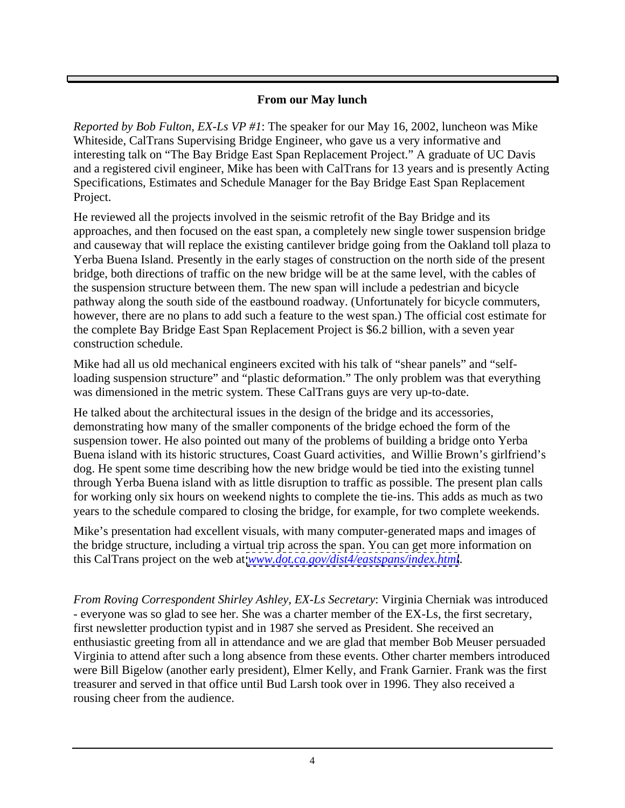#### **From our May lunch**

*Reported by Bob Fulton, EX-Ls VP #1*: The speaker for our May 16, 2002, luncheon was Mike Whiteside, CalTrans Supervising Bridge Engineer, who gave us a very informative and interesting talk on "The Bay Bridge East Span Replacement Project." A graduate of UC Davis and a registered civil engineer, Mike has been with CalTrans for 13 years and is presently Acting Specifications, Estimates and Schedule Manager for the Bay Bridge East Span Replacement Project.

He reviewed all the projects involved in the seismic retrofit of the Bay Bridge and its approaches, and then focused on the east span, a completely new single tower suspension bridge and causeway that will replace the existing cantilever bridge going from the Oakland toll plaza to Yerba Buena Island. Presently in the early stages of construction on the north side of the present bridge, both directions of traffic on the new bridge will be at the same level, with the cables of the suspension structure between them. The new span will include a pedestrian and bicycle pathway along the south side of the eastbound roadway. (Unfortunately for bicycle commuters, however, there are no plans to add such a feature to the west span.) The official cost estimate for the complete Bay Bridge East Span Replacement Project is \$6.2 billion, with a seven year construction schedule.

Mike had all us old mechanical engineers excited with his talk of "shear panels" and "selfloading suspension structure" and "plastic deformation." The only problem was that everything was dimensioned in the metric system. These CalTrans guys are very up-to-date.

He talked about the architectural issues in the design of the bridge and its accessories, demonstrating how many of the smaller components of the bridge echoed the form of the suspension tower. He also pointed out many of the problems of building a bridge onto Yerba Buena island with its historic structures, Coast Guard activities, and Willie Brown's girlfriend's dog. He spent some time describing how the new bridge would be tied into the existing tunnel through Yerba Buena island with as little disruption to traffic as possible. The present plan calls for working only six hours on weekend nights to complete the tie-ins. This adds as much as two years to the schedule compared to closing the bridge, for example, for two complete weekends.

Mike's presentation had excellent visuals, with many computer-generated maps and images of the bridge structure, including a virtual trip across the span. You can get more information on this CalTrans project on the web at *[www.dot.ca.gov/dist4/eastspans/index.html](http://www.dot.ca.gov/dist4/eastspans/index.html)*.

*From Roving Correspondent Shirley Ashley, EX-Ls Secretary*: Virginia Cherniak was introduced - everyone was so glad to see her. She was a charter member of the EX-Ls, the first secretary, first newsletter production typist and in 1987 she served as President. She received an enthusiastic greeting from all in attendance and we are glad that member Bob Meuser persuaded Virginia to attend after such a long absence from these events. Other charter members introduced were Bill Bigelow (another early president), Elmer Kelly, and Frank Garnier. Frank was the first treasurer and served in that office until Bud Larsh took over in 1996. They also received a rousing cheer from the audience.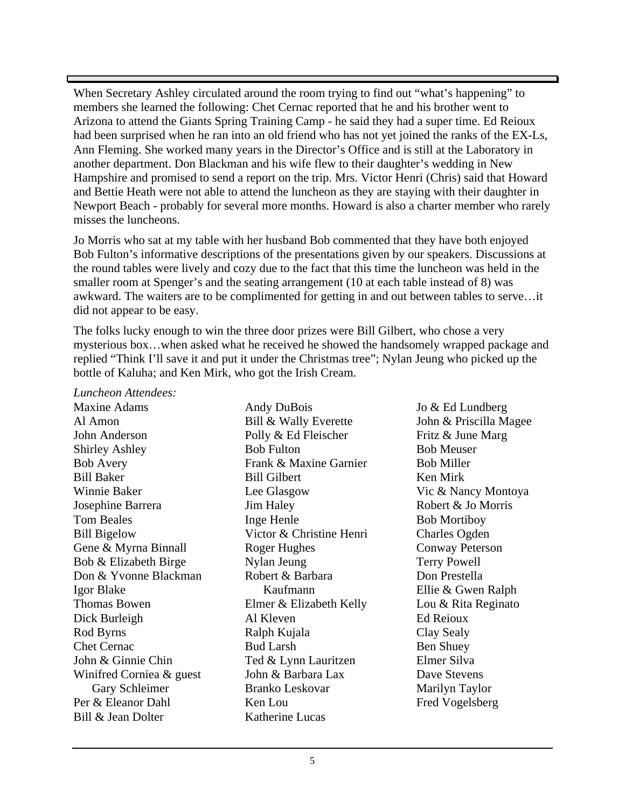When Secretary Ashley circulated around the room trying to find out "what's happening" to members she learned the following: Chet Cernac reported that he and his brother went to Arizona to attend the Giants Spring Training Camp - he said they had a super time. Ed Reioux had been surprised when he ran into an old friend who has not yet joined the ranks of the EX-Ls, Ann Fleming. She worked many years in the Director's Office and is still at the Laboratory in another department. Don Blackman and his wife flew to their daughter's wedding in New Hampshire and promised to send a report on the trip. Mrs. Victor Henri (Chris) said that Howard and Bettie Heath were not able to attend the luncheon as they are staying with their daughter in Newport Beach - probably for several more months. Howard is also a charter member who rarely misses the luncheons.

Jo Morris who sat at my table with her husband Bob commented that they have both enjoyed Bob Fulton's informative descriptions of the presentations given by our speakers. Discussions at the round tables were lively and cozy due to the fact that this time the luncheon was held in the smaller room at Spenger's and the seating arrangement (10 at each table instead of 8) was awkward. The waiters are to be complimented for getting in and out between tables to serve…it did not appear to be easy.

The folks lucky enough to win the three door prizes were Bill Gilbert, who chose a very mysterious box…when asked what he received he showed the handsomely wrapped package and replied "Think I'll save it and put it under the Christmas tree"; Nylan Jeung who picked up the bottle of Kaluha; and Ken Mirk, who got the Irish Cream.

*Luncheon Attendees:* Maxine Adams **Maxine Adams** Andy DuBois **Solution** Jo & Ed Lundberg Al Amon **Bill & Wally Everette** John & Priscilla Magee John Anderson **Fritz** & June Marg **Polly & Ed Fleischer** Fritz & June Marg Shirley Ashley **Bob Fulton** Bob Fulton **Bob Meuser** Bob Avery **Example 3** Frank & Maxine Garnier **Bob Miller** Bob Miller Bill Baker Bill Gilbert Ken Mirk Winnie Baker **State Example 2** Lee Glasgow **State 2 Vick & Nancy Montova** Josephine Barrera **I** Jim Haley Robert & Jo Morris Tom Beales **The Example 19 South Lines Contains Containers** Bob Mortiboy Bill Bigelow Victor & Christine Henri Charles Ogden Gene & Myrna Binnall Roger Hughes Conway Peterson Bob & Elizabeth Birge Mylan Jeung Terry Powell Don & Yvonne Blackman Robert & Barbara Don Prestella Igor Blake **International Community** Ellie & Gwen Ralph Thomas Bowen Elmer & Elizabeth Kelly Lou & Rita Reginato Dick Burleigh Rod Byrns Chet Cernac **Bud Larsh** Bud Larsh **Ben Shuey** John & Ginnie Chin Winifred Corniea & guest John & Barbara Lax Dave Stevens Per & Eleanor Dahl

Gary Schleimer Bill & Jean Dolter **Katherine Lucas** Andy DuBois **Solution** Jo & Ed Lundberg Bill & Wally Everette John & Priscilla Magee Polly & Ed Fleischer Fritz & June Marg Bob Fulton Bob Meuser Frank & Maxine Garnier Bill Gilbert Lee Glasgow **Example 2** Vic & Nancy Montoya Jim Haley Robert & Jo Morris Inge Henle Victor & Christine Henri Charles Ogden Roger Hughes **Conway Peterson** Nylan Jeung Robert & Barbara Elmer & Elizabeth Kelly Lou & Rita Reginato Al Kleven Ralph Kujala Bud Larsh **Ben Shuey Ben Shuey** Ted & Lynn Lauritzen John & Barbara Lax Dave Stevens Branko Leskovar Ken Lou Fred Vogelsberg Katherine Lucas **Example 2018** 

Kaufmann **Ellie & Gwen Ralph** Jo & Ed Lundberg John & Priscilla Magee Fritz & June Marg Bob Meuser Bob Miller Ken Mirk Vic & Nancy Montoya Robert & Jo Morris Bob Mortiboy Charles Ogden Conway Peterson Terry Powell Don Prestella Ellie & Gwen Ralph Lou & Rita Reginato Ed Reioux Clay Sealy Ben Shuey Elmer Silva Dave Stevens Marilyn Taylor Fred Vogelsberg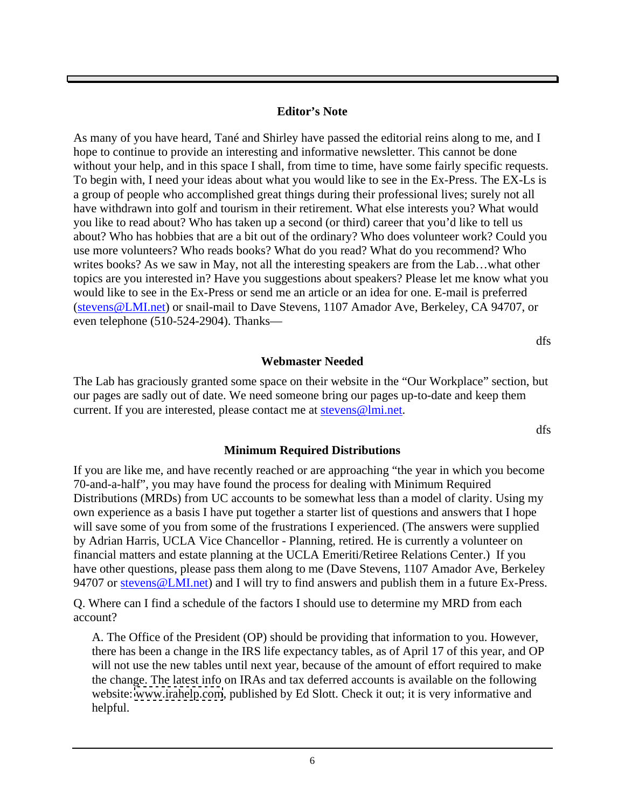#### **Editor's Note**

As many of you have heard, Tané and Shirley have passed the editorial reins along to me, and I hope to continue to provide an interesting and informative newsletter. This cannot be done without your help, and in this space I shall, from time to time, have some fairly specific requests. To begin with, I need your ideas about what you would like to see in the Ex-Press. The EX-Ls is a group of people who accomplished great things during their professional lives; surely not all have withdrawn into golf and tourism in their retirement. What else interests you? What would you like to read about? Who has taken up a second (or third) career that you'd like to tell us about? Who has hobbies that are a bit out of the ordinary? Who does volunteer work? Could you use more volunteers? Who reads books? What do you read? What do you recommend? Who writes books? As we saw in May, not all the interesting speakers are from the Lab…what other topics are you interested in? Have you suggestions about speakers? Please let me know what you would like to see in the Ex-Press or send me an article or an idea for one. E-mail is preferred (stevens@LMI.net) or snail-mail to Dave Stevens, 1107 Amador Ave, Berkeley, CA 94707, or even telephone (510-524-2904). Thanks—

dfs

#### **Webmaster Needed**

The Lab has graciously granted some space on their website in the "Our Workplace" section, but our pages are sadly out of date. We need someone bring our pages up-to-date and keep them current. If you are interested, please contact me at stevens@lmi.net.

dfs

#### **Minimum Required Distributions**

If you are like me, and have recently reached or are approaching "the year in which you become 70-and-a-half", you may have found the process for dealing with Minimum Required Distributions (MRDs) from UC accounts to be somewhat less than a model of clarity. Using my own experience as a basis I have put together a starter list of questions and answers that I hope will save some of you from some of the frustrations I experienced. (The answers were supplied by Adrian Harris, UCLA Vice Chancellor - Planning, retired. He is currently a volunteer on financial matters and estate planning at the UCLA Emeriti/Retiree Relations Center.) If you have other questions, please pass them along to me (Dave Stevens, 1107 Amador Ave, Berkeley 94707 or stevens @LMI.net) and I will try to find answers and publish them in a future Ex-Press.

Q. Where can I find a schedule of the factors I should use to determine my MRD from each account?

A. The Office of the President (OP) should be providing that information to you. However, there has been a change in the IRS life expectancy tables, as of April 17 of this year, and OP will not use the new tables until next year, because of the amount of effort required to make the change. The latest info on IRAs and tax deferred accounts is available on the following website: [www.irahelp.com](http://www.irahelp.com), published by Ed Slott. Check it out; it is very informative and helpful.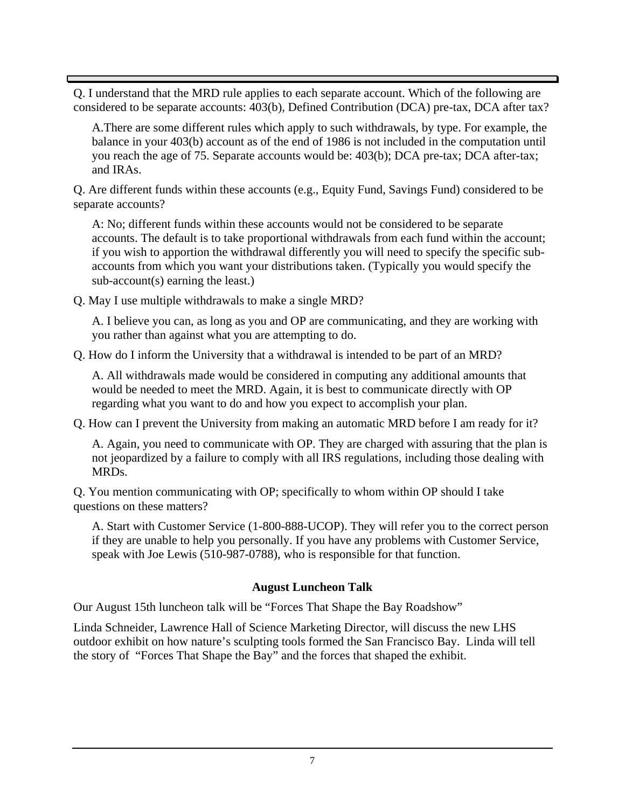Q. I understand that the MRD rule applies to each separate account. Which of the following are considered to be separate accounts: 403(b), Defined Contribution (DCA) pre-tax, DCA after tax?

A.There are some different rules which apply to such withdrawals, by type. For example, the balance in your 403(b) account as of the end of 1986 is not included in the computation until you reach the age of 75. Separate accounts would be: 403(b); DCA pre-tax; DCA after-tax; and IRAs.

Q. Are different funds within these accounts (e.g., Equity Fund, Savings Fund) considered to be separate accounts?

A: No; different funds within these accounts would not be considered to be separate accounts. The default is to take proportional withdrawals from each fund within the account; if you wish to apportion the withdrawal differently you will need to specify the specific sub accounts from which you want your distributions taken. (Typically you would specify the sub-account(s) earning the least.)

Q. May I use multiple withdrawals to make a single MRD?

A. I believe you can, as long as you and OP are communicating, and they are working with you rather than against what you are attempting to do.

Q. How do I inform the University that a withdrawal is intended to be part of an MRD?

A. All withdrawals made would be considered in computing any additional amounts that would be needed to meet the MRD. Again, it is best to communicate directly with OP regarding what you want to do and how you expect to accomplish your plan.

Q. How can I prevent the University from making an automatic MRD before I am ready for it?

A. Again, you need to communicate with OP. They are charged with assuring that the plan is not jeopardized by a failure to comply with all IRS regulations, including those dealing with MRDs.

Q. You mention communicating with OP; specifically to whom within OP should I take questions on these matters?

A. Start with Customer Service (1-800-888-UCOP). They will refer you to the correct person if they are unable to help you personally. If you have any problems with Customer Service, speak with Joe Lewis (510-987-0788), who is responsible for that function.

#### **August Luncheon Talk**

Our August 15th luncheon talk will be "Forces That Shape the Bay Roadshow"

Linda Schneider, Lawrence Hall of Science Marketing Director, will discuss the new LHS outdoor exhibit on how nature's sculpting tools formed the San Francisco Bay. Linda will tell the story of "Forces That Shape the Bay" and the forces that shaped the exhibit.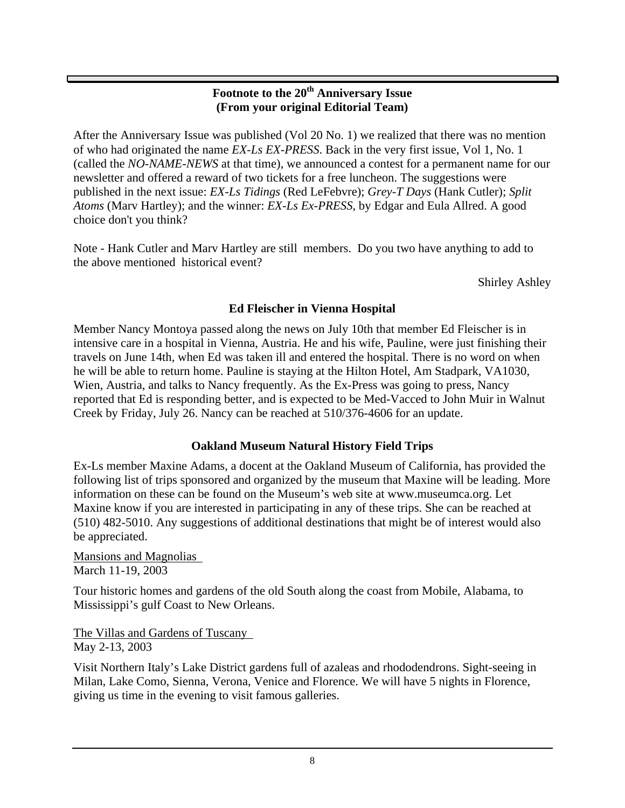#### **Footnote to the 20th Anniversary Issue (From your original Editorial Team)**

After the Anniversary Issue was published (Vol 20 No. 1) we realized that there was no mention of who had originated the name *EX-Ls EX-PRESS*. Back in the very first issue, Vol 1, No. 1 (called the *NO-NAME-NEWS* at that time), we announced a contest for a permanent name for our newsletter and offered a reward of two tickets for a free luncheon. The suggestions were published in the next issue: *EX-Ls Tidings* (Red LeFebvre); *Grey-T Days* (Hank Cutler); *Split Atoms* (Marv Hartley); and the winner: *EX-Ls Ex-PRESS*, by Edgar and Eula Allred. A good choice don't you think?

Note - Hank Cutler and Marv Hartley are still members. Do you two have anything to add to the above mentioned historical event?

Shirley Ashley

#### **Ed Fleischer in Vienna Hospital**

Member Nancy Montoya passed along the news on July 10th that member Ed Fleischer is in intensive care in a hospital in Vienna, Austria. He and his wife, Pauline, were just finishing their travels on June 14th, when Ed was taken ill and entered the hospital. There is no word on when he will be able to return home. Pauline is staying at the Hilton Hotel, Am Stadpark, VA1030, Wien, Austria, and talks to Nancy frequently. As the Ex-Press was going to press, Nancy reported that Ed is responding better, and is expected to be Med-Vacced to John Muir in Walnut Creek by Friday, July 26. Nancy can be reached at 510/376-4606 for an update.

#### **Oakland Museum Natural History Field Trips**

Ex-Ls member Maxine Adams, a docent at the Oakland Museum of California, has provided the following list of trips sponsored and organized by the museum that Maxine will be leading. More information on these can be found on the Museum's web site at www.museumca.org. Let Maxine know if you are interested in participating in any of these trips. She can be reached at (510) 482-5010. Any suggestions of additional destinations that might be of interest would also be appreciated.

Mansions and Magnolias March 11-19, 2003

Tour historic homes and gardens of the old South along the coast from Mobile, Alabama, to Mississippi's gulf Coast to New Orleans.

The Villas and Gardens of Tuscany May 2-13, 2003

Visit Northern Italy's Lake District gardens full of azaleas and rhododendrons. Sight-seeing in Milan, Lake Como, Sienna, Verona, Venice and Florence. We will have 5 nights in Florence, giving us time in the evening to visit famous galleries.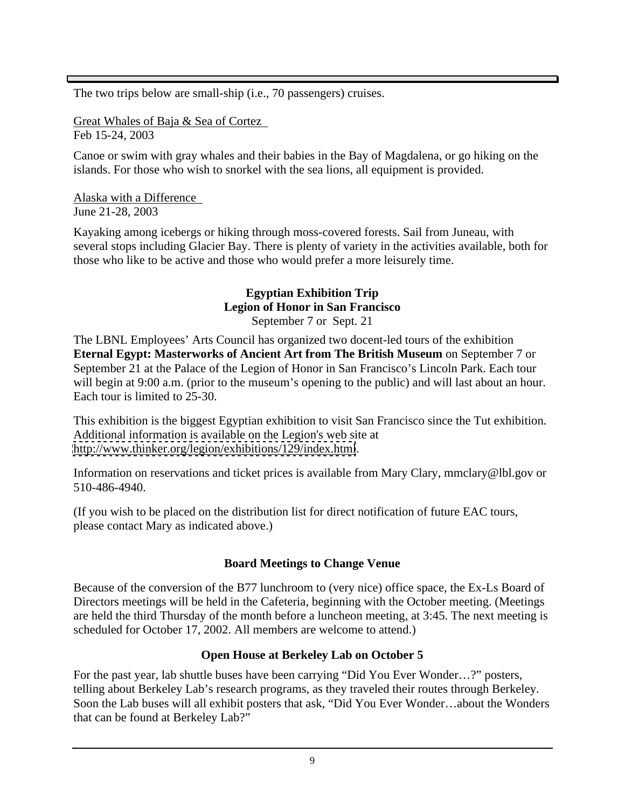The two trips below are small-ship (i.e., 70 passengers) cruises.

Great Whales of Baja & Sea of Cortez Feb 15-24, 2003

Canoe or swim with gray whales and their babies in the Bay of Magdalena, or go hiking on the islands. For those who wish to snorkel with the sea lions, all equipment is provided.

Alaska with a Difference June 21-28, 2003

Kayaking among icebergs or hiking through moss-covered forests. Sail from Juneau, with several stops including Glacier Bay. There is plenty of variety in the activities available, both for those who like to be active and those who would prefer a more leisurely time.

#### **Egyptian Exhibition Trip Legion of Honor in San Francisco**

September 7 or Sept. 21

The LBNL Employees' Arts Council has organized two docent-led tours of the exhibition **Eternal Egypt: Masterworks of Ancient Art from The British Museum** on September 7 or September 21 at the Palace of the Legion of Honor in San Francisco's Lincoln Park. Each tour will begin at 9:00 a.m. (prior to the museum's opening to the public) and will last about an hour. Each tour is limited to 25-30.

This exhibition is the biggest Egyptian exhibition to visit San Francisco since the Tut exhibition. Additional information is available on the Legion's web site at <http://www.thinker.org/legion/exhibitions/129/index.html>.

Information on reservations and ticket prices is available from Mary Clary, mmclary@lbl.gov or 510-486-4940.

(If you wish to be placed on the distribution list for direct notification of future EAC tours, please contact Mary as indicated above.)

#### **Board Meetings to Change Venue**

Because of the conversion of the B77 lunchroom to (very nice) office space, the Ex-Ls Board of Directors meetings will be held in the Cafeteria, beginning with the October meeting. (Meetings are held the third Thursday of the month before a luncheon meeting, at 3:45. The next meeting is scheduled for October 17, 2002. All members are welcome to attend.)

#### **Open House at Berkeley Lab on October 5**

For the past year, lab shuttle buses have been carrying "Did You Ever Wonder…?" posters, telling about Berkeley Lab's research programs, as they traveled their routes through Berkeley. Soon the Lab buses will all exhibit posters that ask, "Did You Ever Wonder…about the Wonders that can be found at Berkeley Lab?"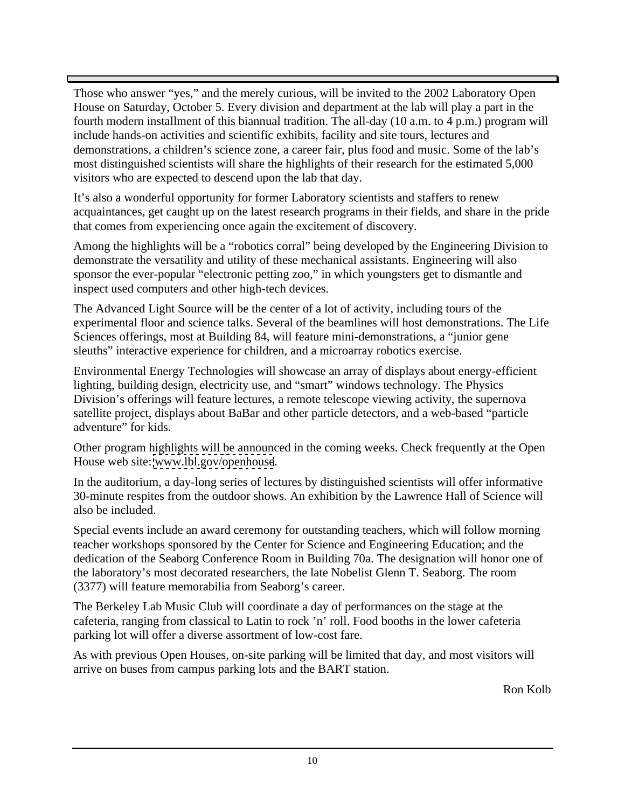Those who answer "yes," and the merely curious, will be invited to the 2002 Laboratory Open House on Saturday, October 5. Every division and department at the lab will play a part in the fourth modern installment of this biannual tradition. The all-day (10 a.m. to 4 p.m.) program will include hands-on activities and scientific exhibits, facility and site tours, lectures and demonstrations, a children's science zone, a career fair, plus food and music. Some of the lab's most distinguished scientists will share the highlights of their research for the estimated 5,000 visitors who are expected to descend upon the lab that day.

It's also a wonderful opportunity for former Laboratory scientists and staffers to renew acquaintances, get caught up on the latest research programs in their fields, and share in the pride that comes from experiencing once again the excitement of discovery.

Among the highlights will be a "robotics corral" being developed by the Engineering Division to demonstrate the versatility and utility of these mechanical assistants. Engineering will also sponsor the ever-popular "electronic petting zoo," in which youngsters get to dismantle and inspect used computers and other high-tech devices.

The Advanced Light Source will be the center of a lot of activity, including tours of the experimental floor and science talks. Several of the beamlines will host demonstrations. The Life Sciences offerings, most at Building 84, will feature mini-demonstrations, a "junior gene sleuths" interactive experience for children, and a microarray robotics exercise.

Environmental Energy Technologies will showcase an array of displays about energy-efficient lighting, building design, electricity use, and "smart" windows technology. The Physics Division's offerings will feature lectures, a remote telescope viewing activity, the supernova satellite project, displays about BaBar and other particle detectors, and a web-based "particle adventure" for kids.

Other program highlights will be announced in the coming weeks. Check frequently at the Open House web site: [www.lbl.gov/openhouse](http://www.lbl.gov/openhouse).

In the auditorium, a day-long series of lectures by distinguished scientists will offer informative 30-minute respites from the outdoor shows. An exhibition by the Lawrence Hall of Science will also be included.

Special events include an award ceremony for outstanding teachers, which will follow morning teacher workshops sponsored by the Center for Science and Engineering Education; and the dedication of the Seaborg Conference Room in Building 70a. The designation will honor one of the laboratory's most decorated researchers, the late Nobelist Glenn T. Seaborg. The room (3377) will feature memorabilia from Seaborg's career.

The Berkeley Lab Music Club will coordinate a day of performances on the stage at the cafeteria, ranging from classical to Latin to rock 'n' roll. Food booths in the lower cafeteria parking lot will offer a diverse assortment of low-cost fare.

As with previous Open Houses, on-site parking will be limited that day, and most visitors will arrive on buses from campus parking lots and the BART station.

Ron Kolb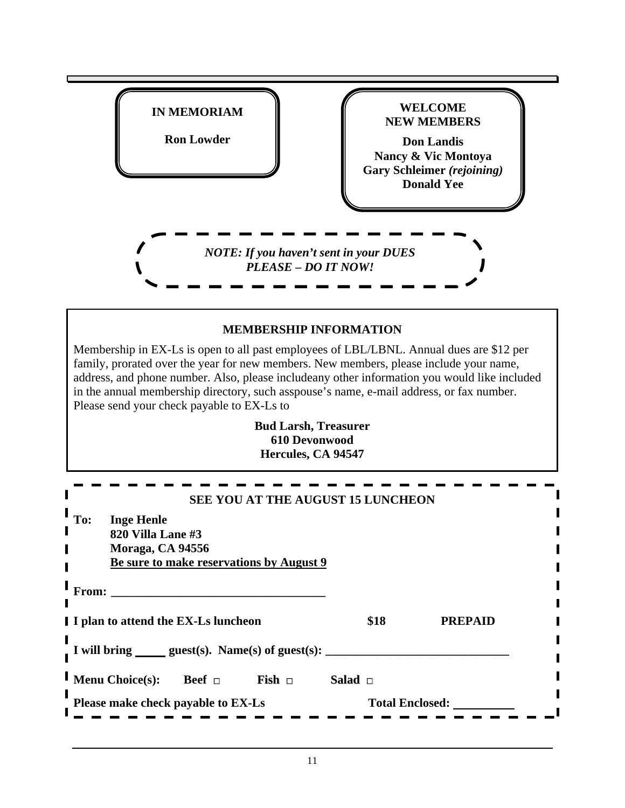| <b>WELCOME</b><br><b>IN MEMORIAM</b><br><b>NEW MEMBERS</b><br><b>Ron Lowder</b><br><b>Don Landis</b><br><b>Nancy &amp; Vic Montoya</b><br><b>Gary Schleimer (rejoining)</b><br><b>Donald Yee</b><br><b>NOTE:</b> If you haven't sent in your DUES<br>PLEASE – DO IT NOW!<br><b>MEMBERSHIP INFORMATION</b><br>Membership in EX-Ls is open to all past employees of LBL/LBNL. Annual dues are \$12 per<br>family, prorated over the year for new members. New members, please include your name, address, and phone number. Also, please includeany other information you would like included<br>Please send your check payable to EX-Ls to<br><b>Bud Larsh, Treasurer</b><br><b>610 Devonwood</b><br>Hercules, CA 94547<br>SEE YOU AT THE AUGUST 15 LUNCHEON<br>820 Villa Lane #3<br>Moraga, CA 94556<br>Be sure to make reservations by August 9<br>\$18<br><b>PREPAID</b><br>I I plan to attend the EX-Ls luncheon<br>I will bring ______ guest(s). Name(s) of guest(s):<br>Salad $\Box$<br><b>Menu Choice(s):</b> Beef $\Box$<br>$\textbf{Fish} \quad \Box$<br><b>Total Enclosed:</b><br>Please make check payable to EX-Ls<br><u> 1989 - Johann Barnett, fransk konge</u> |                                                                                          |  |  |
|------------------------------------------------------------------------------------------------------------------------------------------------------------------------------------------------------------------------------------------------------------------------------------------------------------------------------------------------------------------------------------------------------------------------------------------------------------------------------------------------------------------------------------------------------------------------------------------------------------------------------------------------------------------------------------------------------------------------------------------------------------------------------------------------------------------------------------------------------------------------------------------------------------------------------------------------------------------------------------------------------------------------------------------------------------------------------------------------------------------------------------------------------------------------------|------------------------------------------------------------------------------------------|--|--|
|                                                                                                                                                                                                                                                                                                                                                                                                                                                                                                                                                                                                                                                                                                                                                                                                                                                                                                                                                                                                                                                                                                                                                                              |                                                                                          |  |  |
|                                                                                                                                                                                                                                                                                                                                                                                                                                                                                                                                                                                                                                                                                                                                                                                                                                                                                                                                                                                                                                                                                                                                                                              |                                                                                          |  |  |
|                                                                                                                                                                                                                                                                                                                                                                                                                                                                                                                                                                                                                                                                                                                                                                                                                                                                                                                                                                                                                                                                                                                                                                              |                                                                                          |  |  |
|                                                                                                                                                                                                                                                                                                                                                                                                                                                                                                                                                                                                                                                                                                                                                                                                                                                                                                                                                                                                                                                                                                                                                                              |                                                                                          |  |  |
|                                                                                                                                                                                                                                                                                                                                                                                                                                                                                                                                                                                                                                                                                                                                                                                                                                                                                                                                                                                                                                                                                                                                                                              |                                                                                          |  |  |
|                                                                                                                                                                                                                                                                                                                                                                                                                                                                                                                                                                                                                                                                                                                                                                                                                                                                                                                                                                                                                                                                                                                                                                              |                                                                                          |  |  |
|                                                                                                                                                                                                                                                                                                                                                                                                                                                                                                                                                                                                                                                                                                                                                                                                                                                                                                                                                                                                                                                                                                                                                                              |                                                                                          |  |  |
|                                                                                                                                                                                                                                                                                                                                                                                                                                                                                                                                                                                                                                                                                                                                                                                                                                                                                                                                                                                                                                                                                                                                                                              |                                                                                          |  |  |
|                                                                                                                                                                                                                                                                                                                                                                                                                                                                                                                                                                                                                                                                                                                                                                                                                                                                                                                                                                                                                                                                                                                                                                              |                                                                                          |  |  |
|                                                                                                                                                                                                                                                                                                                                                                                                                                                                                                                                                                                                                                                                                                                                                                                                                                                                                                                                                                                                                                                                                                                                                                              |                                                                                          |  |  |
|                                                                                                                                                                                                                                                                                                                                                                                                                                                                                                                                                                                                                                                                                                                                                                                                                                                                                                                                                                                                                                                                                                                                                                              | in the annual membership directory, such asspouse's name, e-mail address, or fax number. |  |  |
|                                                                                                                                                                                                                                                                                                                                                                                                                                                                                                                                                                                                                                                                                                                                                                                                                                                                                                                                                                                                                                                                                                                                                                              |                                                                                          |  |  |
|                                                                                                                                                                                                                                                                                                                                                                                                                                                                                                                                                                                                                                                                                                                                                                                                                                                                                                                                                                                                                                                                                                                                                                              |                                                                                          |  |  |
|                                                                                                                                                                                                                                                                                                                                                                                                                                                                                                                                                                                                                                                                                                                                                                                                                                                                                                                                                                                                                                                                                                                                                                              |                                                                                          |  |  |
|                                                                                                                                                                                                                                                                                                                                                                                                                                                                                                                                                                                                                                                                                                                                                                                                                                                                                                                                                                                                                                                                                                                                                                              |                                                                                          |  |  |
|                                                                                                                                                                                                                                                                                                                                                                                                                                                                                                                                                                                                                                                                                                                                                                                                                                                                                                                                                                                                                                                                                                                                                                              | To: Inge Henle                                                                           |  |  |
|                                                                                                                                                                                                                                                                                                                                                                                                                                                                                                                                                                                                                                                                                                                                                                                                                                                                                                                                                                                                                                                                                                                                                                              |                                                                                          |  |  |
|                                                                                                                                                                                                                                                                                                                                                                                                                                                                                                                                                                                                                                                                                                                                                                                                                                                                                                                                                                                                                                                                                                                                                                              | From:                                                                                    |  |  |
|                                                                                                                                                                                                                                                                                                                                                                                                                                                                                                                                                                                                                                                                                                                                                                                                                                                                                                                                                                                                                                                                                                                                                                              |                                                                                          |  |  |
|                                                                                                                                                                                                                                                                                                                                                                                                                                                                                                                                                                                                                                                                                                                                                                                                                                                                                                                                                                                                                                                                                                                                                                              |                                                                                          |  |  |
|                                                                                                                                                                                                                                                                                                                                                                                                                                                                                                                                                                                                                                                                                                                                                                                                                                                                                                                                                                                                                                                                                                                                                                              |                                                                                          |  |  |
|                                                                                                                                                                                                                                                                                                                                                                                                                                                                                                                                                                                                                                                                                                                                                                                                                                                                                                                                                                                                                                                                                                                                                                              |                                                                                          |  |  |
|                                                                                                                                                                                                                                                                                                                                                                                                                                                                                                                                                                                                                                                                                                                                                                                                                                                                                                                                                                                                                                                                                                                                                                              |                                                                                          |  |  |